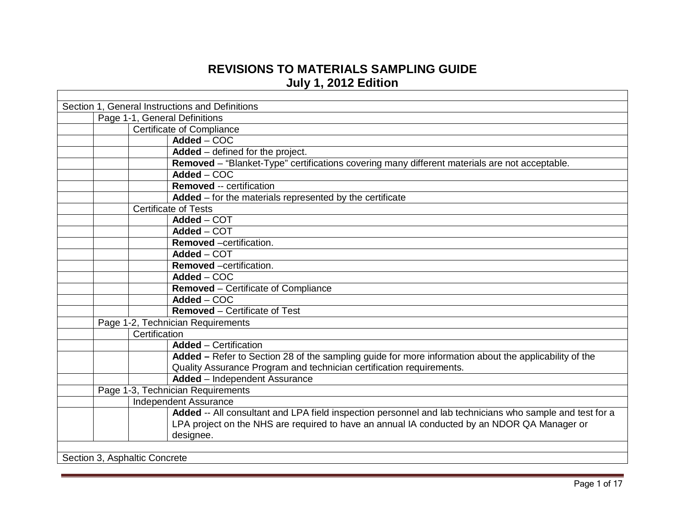## **REVISIONS TO MATERIALS SAMPLING GUIDE July 1, 2012 Edition**

| Section 1, General Instructions and Definitions                                                          |  |  |  |
|----------------------------------------------------------------------------------------------------------|--|--|--|
| Page 1-1, General Definitions                                                                            |  |  |  |
| Certificate of Compliance                                                                                |  |  |  |
| Added - COC                                                                                              |  |  |  |
| Added - defined for the project.                                                                         |  |  |  |
| Removed - "Blanket-Type" certifications covering many different materials are not acceptable.            |  |  |  |
| Added - COC                                                                                              |  |  |  |
| <b>Removed -- certification</b>                                                                          |  |  |  |
| Added - for the materials represented by the certificate                                                 |  |  |  |
| <b>Certificate of Tests</b>                                                                              |  |  |  |
| Added - COT                                                                                              |  |  |  |
| $\overline{\mathsf{Added}} - \mathsf{COT}$                                                               |  |  |  |
| <b>Removed</b> -certification.                                                                           |  |  |  |
| Added - COT                                                                                              |  |  |  |
| Removed -certification.                                                                                  |  |  |  |
| $Added - COC$                                                                                            |  |  |  |
| Removed - Certificate of Compliance                                                                      |  |  |  |
| Added - COC                                                                                              |  |  |  |
| <b>Removed - Certificate of Test</b>                                                                     |  |  |  |
| Page 1-2, Technician Requirements                                                                        |  |  |  |
| Certification                                                                                            |  |  |  |
| <b>Added</b> – Certification                                                                             |  |  |  |
| Added - Refer to Section 28 of the sampling guide for more information about the applicability of the    |  |  |  |
| Quality Assurance Program and technician certification requirements.                                     |  |  |  |
| <b>Added</b> - Independent Assurance                                                                     |  |  |  |
| Page 1-3, Technician Requirements                                                                        |  |  |  |
| <b>Independent Assurance</b>                                                                             |  |  |  |
| Added -- All consultant and LPA field inspection personnel and lab technicians who sample and test for a |  |  |  |
| LPA project on the NHS are required to have an annual IA conducted by an NDOR QA Manager or              |  |  |  |
| designee.                                                                                                |  |  |  |
|                                                                                                          |  |  |  |
| Section 3, Asphaltic Concrete                                                                            |  |  |  |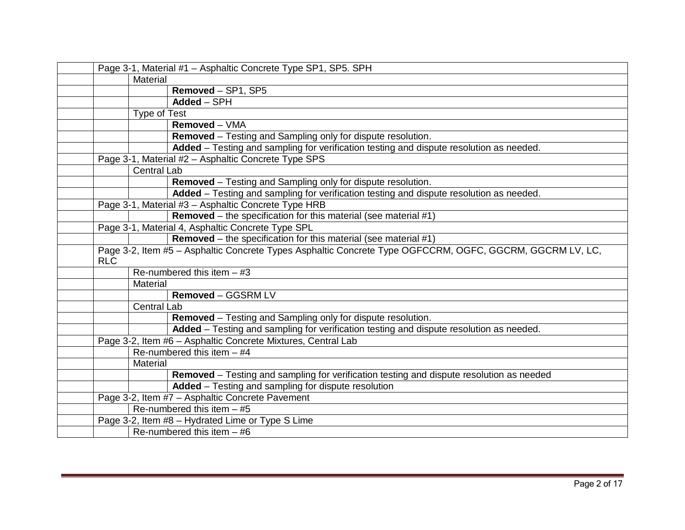| Page 3-1, Material #1 - Asphaltic Concrete Type SP1, SP5. SPH                                            |                     |                                                                                          |
|----------------------------------------------------------------------------------------------------------|---------------------|------------------------------------------------------------------------------------------|
|                                                                                                          | Material            |                                                                                          |
|                                                                                                          |                     | Removed - SP1, SP5                                                                       |
|                                                                                                          |                     | Added - SPH                                                                              |
|                                                                                                          | <b>Type of Test</b> |                                                                                          |
|                                                                                                          |                     | Removed - VMA                                                                            |
|                                                                                                          |                     | Removed - Testing and Sampling only for dispute resolution.                              |
|                                                                                                          |                     | Added - Testing and sampling for verification testing and dispute resolution as needed.  |
|                                                                                                          |                     | Page 3-1, Material #2 - Asphaltic Concrete Type SPS                                      |
|                                                                                                          | <b>Central Lab</b>  |                                                                                          |
|                                                                                                          |                     | Removed - Testing and Sampling only for dispute resolution.                              |
|                                                                                                          |                     | Added - Testing and sampling for verification testing and dispute resolution as needed.  |
|                                                                                                          |                     | Page 3-1, Material #3 - Asphaltic Concrete Type HRB                                      |
|                                                                                                          |                     | <b>Removed</b> – the specification for this material (see material $#1$ )                |
|                                                                                                          |                     | Page 3-1, Material 4, Asphaltic Concrete Type SPL                                        |
|                                                                                                          |                     | <b>Removed</b> – the specification for this material (see material $#1$ )                |
| Page 3-2, Item #5 - Asphaltic Concrete Types Asphaltic Concrete Type OGFCCRM, OGFC, GGCRM, GGCRM LV, LC, |                     |                                                                                          |
| <b>RLC</b>                                                                                               |                     |                                                                                          |
|                                                                                                          |                     | Re-numbered this item $-$ #3                                                             |
|                                                                                                          | Material            |                                                                                          |
|                                                                                                          |                     | Removed - GGSRM LV                                                                       |
|                                                                                                          | <b>Central Lab</b>  |                                                                                          |
|                                                                                                          |                     | Removed - Testing and Sampling only for dispute resolution.                              |
|                                                                                                          |                     | Added - Testing and sampling for verification testing and dispute resolution as needed.  |
|                                                                                                          |                     | Page 3-2, Item #6 - Asphaltic Concrete Mixtures, Central Lab                             |
|                                                                                                          |                     | Re-numbered this item $-$ #4                                                             |
|                                                                                                          | Material            |                                                                                          |
|                                                                                                          |                     | Removed - Testing and sampling for verification testing and dispute resolution as needed |
|                                                                                                          |                     | Added - Testing and sampling for dispute resolution                                      |
|                                                                                                          |                     | Page 3-2, Item #7 - Asphaltic Concrete Pavement                                          |
|                                                                                                          |                     | Re-numbered this item $-$ #5                                                             |
|                                                                                                          |                     | Page 3-2, Item #8 - Hydrated Lime or Type S Lime                                         |
|                                                                                                          |                     | Re-numbered this item $-$ #6                                                             |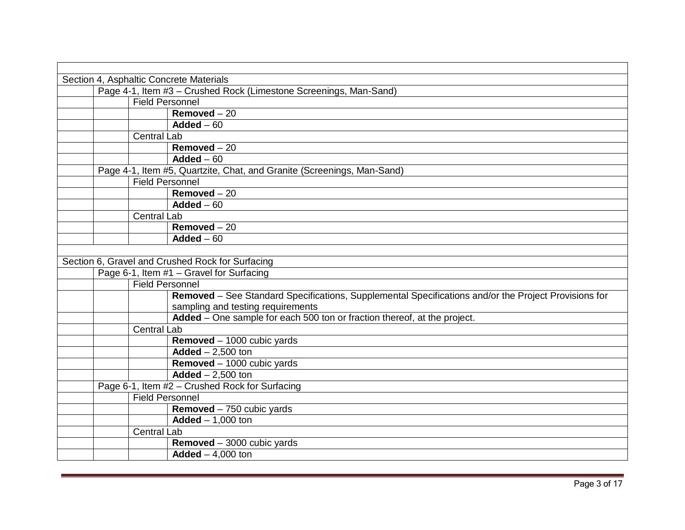| Section 4, Asphaltic Concrete Materials                                                              |  |  |  |  |
|------------------------------------------------------------------------------------------------------|--|--|--|--|
| Page 4-1, Item #3 - Crushed Rock (Limestone Screenings, Man-Sand)                                    |  |  |  |  |
| <b>Field Personnel</b>                                                                               |  |  |  |  |
| Removed $-20$                                                                                        |  |  |  |  |
| Added $-60$                                                                                          |  |  |  |  |
| <b>Central Lab</b>                                                                                   |  |  |  |  |
| $Removed - 20$                                                                                       |  |  |  |  |
| Added $-60$                                                                                          |  |  |  |  |
| Page 4-1, Item #5, Quartzite, Chat, and Granite (Screenings, Man-Sand)                               |  |  |  |  |
| <b>Field Personnel</b>                                                                               |  |  |  |  |
| Removed $-20$                                                                                        |  |  |  |  |
| Added $-60$                                                                                          |  |  |  |  |
| <b>Central Lab</b>                                                                                   |  |  |  |  |
| Removed $-20$                                                                                        |  |  |  |  |
| Added $-60$                                                                                          |  |  |  |  |
|                                                                                                      |  |  |  |  |
| Section 6, Gravel and Crushed Rock for Surfacing                                                     |  |  |  |  |
| Page 6-1, Item #1 - Gravel for Surfacing                                                             |  |  |  |  |
| <b>Field Personnel</b>                                                                               |  |  |  |  |
| Removed - See Standard Specifications, Supplemental Specifications and/or the Project Provisions for |  |  |  |  |
| sampling and testing requirements                                                                    |  |  |  |  |
| Added - One sample for each 500 ton or fraction thereof, at the project.                             |  |  |  |  |
| <b>Central Lab</b>                                                                                   |  |  |  |  |
| Removed - 1000 cubic yards                                                                           |  |  |  |  |
| Added $- 2,500$ ton                                                                                  |  |  |  |  |
| Removed - 1000 cubic yards                                                                           |  |  |  |  |
| $Added - 2,500$ ton                                                                                  |  |  |  |  |
| Page 6-1, Item #2 - Crushed Rock for Surfacing                                                       |  |  |  |  |
| <b>Field Personnel</b>                                                                               |  |  |  |  |
| Removed - 750 cubic yards                                                                            |  |  |  |  |
| $Added - 1,000$ ton                                                                                  |  |  |  |  |
| <b>Central Lab</b>                                                                                   |  |  |  |  |
| Removed - 3000 cubic yards                                                                           |  |  |  |  |
| $Added - 4,000$ ton                                                                                  |  |  |  |  |
|                                                                                                      |  |  |  |  |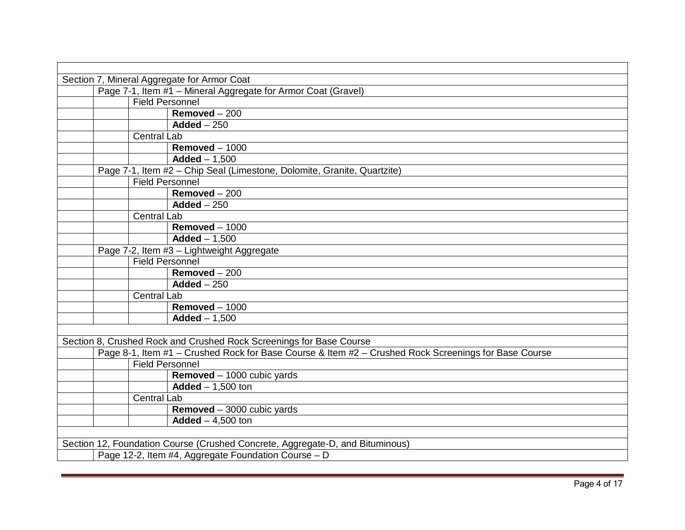| Section 7, Mineral Aggregate for Armor Coat                                                          |  |  |  |
|------------------------------------------------------------------------------------------------------|--|--|--|
| Page 7-1, Item #1 - Mineral Aggregate for Armor Coat (Gravel)                                        |  |  |  |
| <b>Field Personnel</b>                                                                               |  |  |  |
| Removed $-200$                                                                                       |  |  |  |
| $Added - 250$                                                                                        |  |  |  |
| Central Lab                                                                                          |  |  |  |
| Removed $-1000$                                                                                      |  |  |  |
| $Added - 1,500$                                                                                      |  |  |  |
| Page 7-1, Item #2 - Chip Seal (Limestone, Dolomite, Granite, Quartzite)                              |  |  |  |
| <b>Field Personnel</b>                                                                               |  |  |  |
| $Removed - 200$                                                                                      |  |  |  |
| Added $-250$                                                                                         |  |  |  |
| Central Lab                                                                                          |  |  |  |
| Removed $-1000$                                                                                      |  |  |  |
| $Added - 1,500$                                                                                      |  |  |  |
| Page 7-2, Item #3 - Lightweight Aggregate                                                            |  |  |  |
| <b>Field Personnel</b>                                                                               |  |  |  |
| $Removed - 200$                                                                                      |  |  |  |
| Added $-250$                                                                                         |  |  |  |
| <b>Central Lab</b>                                                                                   |  |  |  |
| Removed $-1000$                                                                                      |  |  |  |
| $Added - 1,500$                                                                                      |  |  |  |
|                                                                                                      |  |  |  |
| Section 8, Crushed Rock and Crushed Rock Screenings for Base Course                                  |  |  |  |
| Page 8-1, Item #1 - Crushed Rock for Base Course & Item #2 - Crushed Rock Screenings for Base Course |  |  |  |
| <b>Field Personnel</b>                                                                               |  |  |  |
| Removed - 1000 cubic yards                                                                           |  |  |  |
| $Added - 1,500$ ton                                                                                  |  |  |  |
| <b>Central Lab</b>                                                                                   |  |  |  |
| $R$ emoved - 3000 cubic yards                                                                        |  |  |  |
| Added $-4,500$ ton                                                                                   |  |  |  |
|                                                                                                      |  |  |  |
| Section 12, Foundation Course (Crushed Concrete, Aggregate-D, and Bituminous)                        |  |  |  |
| Page 12-2, Item #4, Aggregate Foundation Course - D                                                  |  |  |  |
|                                                                                                      |  |  |  |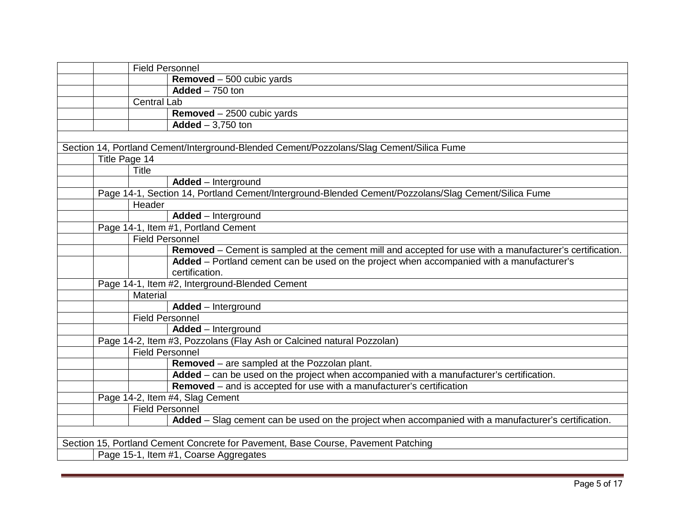| <b>Field Personnel</b>                                                                                   |
|----------------------------------------------------------------------------------------------------------|
| Removed - 500 cubic yards                                                                                |
| $Added - 750$ ton                                                                                        |
| <b>Central Lab</b>                                                                                       |
| Removed - 2500 cubic yards                                                                               |
| Added $-3,750$ ton                                                                                       |
|                                                                                                          |
| Section 14, Portland Cement/Interground-Blended Cement/Pozzolans/Slag Cement/Silica Fume                 |
| Title Page 14                                                                                            |
| <b>Title</b>                                                                                             |
| Added - Interground                                                                                      |
| Page 14-1, Section 14, Portland Cement/Interground-Blended Cement/Pozzolans/Slag Cement/Silica Fume      |
| Header                                                                                                   |
| Added - Interground                                                                                      |
| Page 14-1, Item #1, Portland Cement                                                                      |
| <b>Field Personnel</b>                                                                                   |
| Removed – Cement is sampled at the cement mill and accepted for use with a manufacturer's certification. |
| Added – Portland cement can be used on the project when accompanied with a manufacturer's                |
| certification.                                                                                           |
| Page 14-1, Item #2, Interground-Blended Cement                                                           |
| Material                                                                                                 |
| Added - Interground                                                                                      |
| <b>Field Personnel</b>                                                                                   |
| Added - Interground                                                                                      |
| Page 14-2, Item #3, Pozzolans (Flay Ash or Calcined natural Pozzolan)                                    |
| Field Personnel                                                                                          |
| Removed - are sampled at the Pozzolan plant.                                                             |
| Added - can be used on the project when accompanied with a manufacturer's certification.                 |
| Removed - and is accepted for use with a manufacturer's certification                                    |
| Page 14-2, Item #4, Slag Cement                                                                          |
| Field Personnel                                                                                          |
| Added - Slag cement can be used on the project when accompanied with a manufacturer's certification.     |
|                                                                                                          |
| Section 15, Portland Cement Concrete for Pavement, Base Course, Pavement Patching                        |
| Page 15-1, Item #1, Coarse Aggregates                                                                    |
|                                                                                                          |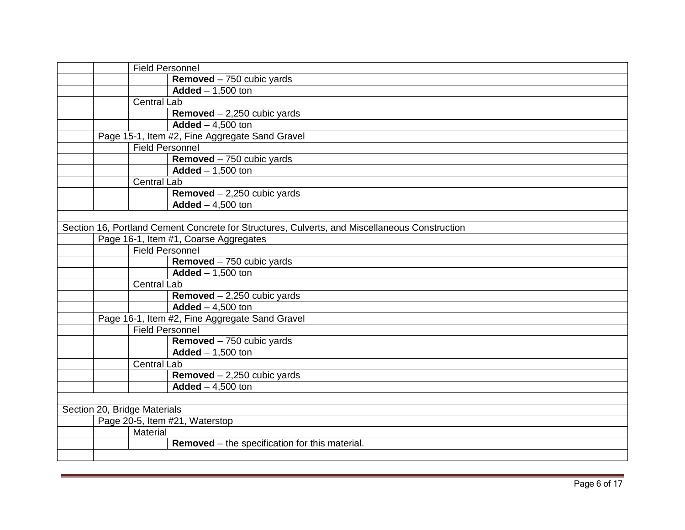|  | <b>Field Personnel</b>       |                                                                                               |
|--|------------------------------|-----------------------------------------------------------------------------------------------|
|  |                              | Removed $-750$ cubic yards                                                                    |
|  |                              | Added $- 1,500$ ton                                                                           |
|  | <b>Central Lab</b>           |                                                                                               |
|  |                              | <b>Removed</b> $- 2,250$ cubic yards                                                          |
|  |                              | Added $-4,500$ ton                                                                            |
|  |                              | Page 15-1, Item #2, Fine Aggregate Sand Gravel                                                |
|  | <b>Field Personnel</b>       |                                                                                               |
|  |                              | Removed - 750 cubic yards                                                                     |
|  |                              | Added $- 1,500$ ton                                                                           |
|  | <b>Central Lab</b>           |                                                                                               |
|  |                              | Removed $-2,250$ cubic yards                                                                  |
|  |                              | Added $-4,500$ ton                                                                            |
|  |                              |                                                                                               |
|  |                              | Section 16, Portland Cement Concrete for Structures, Culverts, and Miscellaneous Construction |
|  |                              | Page 16-1, Item #1, Coarse Aggregates                                                         |
|  | <b>Field Personnel</b>       |                                                                                               |
|  |                              | Removed - 750 cubic yards                                                                     |
|  |                              | Added $- 1,500$ ton                                                                           |
|  | <b>Central Lab</b>           |                                                                                               |
|  |                              | Removed $-2,250$ cubic yards                                                                  |
|  |                              | Added $-4,500$ ton                                                                            |
|  |                              | Page 16-1, Item #2, Fine Aggregate Sand Gravel                                                |
|  | <b>Field Personnel</b>       |                                                                                               |
|  |                              | Removed - 750 cubic yards                                                                     |
|  |                              | Added $- 1,500$ ton                                                                           |
|  | <b>Central Lab</b>           |                                                                                               |
|  |                              | <b>Removed</b> $- 2,250$ cubic yards                                                          |
|  |                              | Added $-4,500$ ton                                                                            |
|  |                              |                                                                                               |
|  | Section 20, Bridge Materials |                                                                                               |
|  |                              | Page 20-5, Item #21, Waterstop                                                                |
|  | Material                     |                                                                                               |
|  |                              | <b>Removed</b> – the specification for this material.                                         |
|  |                              |                                                                                               |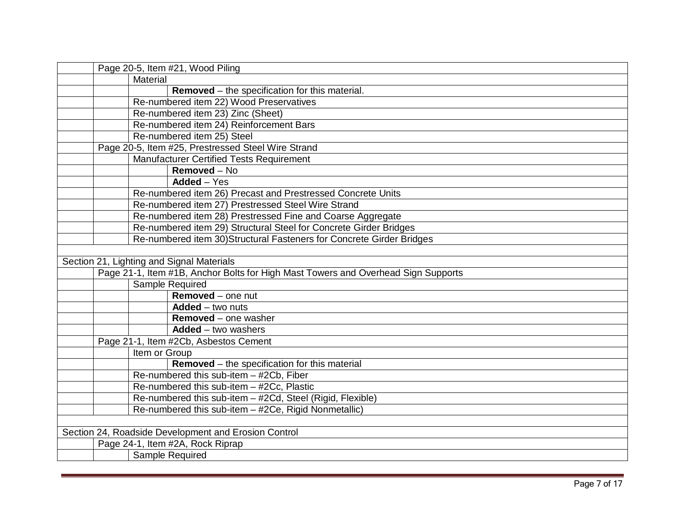| Page 20-5, Item #21, Wood Piling                                                  |  |  |  |
|-----------------------------------------------------------------------------------|--|--|--|
| Material                                                                          |  |  |  |
| <b>Removed</b> – the specification for this material.                             |  |  |  |
| Re-numbered item 22) Wood Preservatives                                           |  |  |  |
| Re-numbered item 23) Zinc (Sheet)                                                 |  |  |  |
| Re-numbered item 24) Reinforcement Bars                                           |  |  |  |
| Re-numbered item 25) Steel                                                        |  |  |  |
| Page 20-5, Item #25, Prestressed Steel Wire Strand                                |  |  |  |
| Manufacturer Certified Tests Requirement                                          |  |  |  |
| Removed $-\overline{N_0}$                                                         |  |  |  |
| Added - Yes                                                                       |  |  |  |
| Re-numbered item 26) Precast and Prestressed Concrete Units                       |  |  |  |
| Re-numbered item 27) Prestressed Steel Wire Strand                                |  |  |  |
| Re-numbered item 28) Prestressed Fine and Coarse Aggregate                        |  |  |  |
| Re-numbered item 29) Structural Steel for Concrete Girder Bridges                 |  |  |  |
| Re-numbered item 30) Structural Fasteners for Concrete Girder Bridges             |  |  |  |
|                                                                                   |  |  |  |
| Section 21, Lighting and Signal Materials                                         |  |  |  |
| Page 21-1, Item #1B, Anchor Bolts for High Mast Towers and Overhead Sign Supports |  |  |  |
| Sample Required                                                                   |  |  |  |
| Removed - one nut                                                                 |  |  |  |
| Added - two nuts                                                                  |  |  |  |
| <b>Removed</b> – one washer                                                       |  |  |  |
| $Added - two washers$                                                             |  |  |  |
| Page 21-1, Item #2Cb, Asbestos Cement                                             |  |  |  |
| Item or Group                                                                     |  |  |  |
| <b>Removed</b> – the specification for this material                              |  |  |  |
| Re-numbered this sub-item - #2Cb, Fiber                                           |  |  |  |
| Re-numbered this sub-item - #2Cc, Plastic                                         |  |  |  |
| Re-numbered this sub-item - #2Cd, Steel (Rigid, Flexible)                         |  |  |  |
| Re-numbered this sub-item - #2Ce, Rigid Nonmetallic)                              |  |  |  |
|                                                                                   |  |  |  |
| Section 24, Roadside Development and Erosion Control                              |  |  |  |
| Page 24-1, Item #2A, Rock Riprap                                                  |  |  |  |
| Sample Required                                                                   |  |  |  |
|                                                                                   |  |  |  |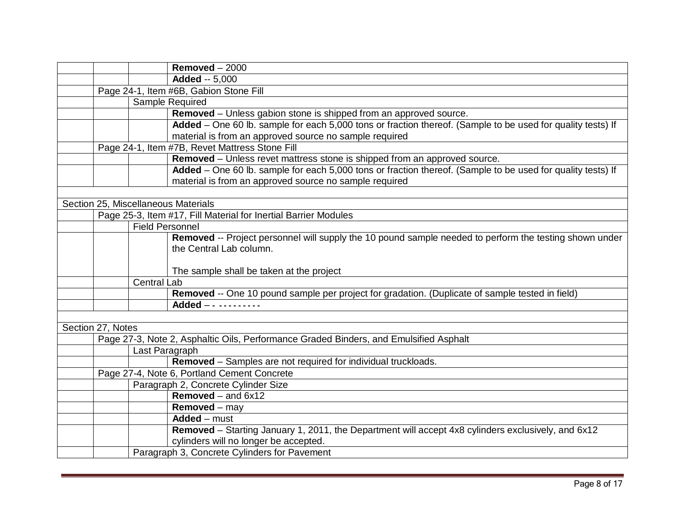|                   |                                             | Removed $-2000$                                                                                             |  |
|-------------------|---------------------------------------------|-------------------------------------------------------------------------------------------------------------|--|
|                   |                                             | <b>Added -- 5,000</b>                                                                                       |  |
|                   | Page 24-1, Item #6B, Gabion Stone Fill      |                                                                                                             |  |
|                   |                                             | Sample Required                                                                                             |  |
|                   |                                             | Removed - Unless gabion stone is shipped from an approved source.                                           |  |
|                   |                                             | Added - One 60 lb. sample for each 5,000 tons or fraction thereof. (Sample to be used for quality tests) If |  |
|                   |                                             | material is from an approved source no sample required                                                      |  |
|                   |                                             | Page 24-1, Item #7B, Revet Mattress Stone Fill                                                              |  |
|                   |                                             | Removed - Unless revet mattress stone is shipped from an approved source.                                   |  |
|                   |                                             | Added - One 60 lb. sample for each 5,000 tons or fraction thereof. (Sample to be used for quality tests) If |  |
|                   |                                             | material is from an approved source no sample required                                                      |  |
|                   |                                             |                                                                                                             |  |
|                   |                                             | Section 25, Miscellaneous Materials                                                                         |  |
|                   |                                             | Page 25-3, Item #17, Fill Material for Inertial Barrier Modules                                             |  |
|                   | <b>Field Personnel</b>                      |                                                                                                             |  |
|                   |                                             | Removed -- Project personnel will supply the 10 pound sample needed to perform the testing shown under      |  |
|                   |                                             | the Central Lab column.                                                                                     |  |
|                   |                                             |                                                                                                             |  |
|                   |                                             | The sample shall be taken at the project                                                                    |  |
|                   | <b>Central Lab</b>                          |                                                                                                             |  |
|                   |                                             | Removed -- One 10 pound sample per project for gradation. (Duplicate of sample tested in field)             |  |
|                   |                                             | Added - - - - - - - - - - -                                                                                 |  |
|                   |                                             |                                                                                                             |  |
| Section 27, Notes |                                             |                                                                                                             |  |
|                   |                                             | Page 27-3, Note 2, Asphaltic Oils, Performance Graded Binders, and Emulsified Asphalt                       |  |
|                   | Last Paragraph                              |                                                                                                             |  |
|                   |                                             | Removed - Samples are not required for individual truckloads.                                               |  |
|                   | Page 27-4, Note 6, Portland Cement Concrete |                                                                                                             |  |
|                   |                                             | Paragraph 2, Concrete Cylinder Size                                                                         |  |
|                   |                                             | Removed – and $6x12$                                                                                        |  |
|                   |                                             | <b>Removed</b> – may                                                                                        |  |
|                   |                                             | Added - must                                                                                                |  |
|                   |                                             | Removed – Starting January 1, 2011, the Department will accept 4x8 cylinders exclusively, and 6x12          |  |
|                   |                                             | cylinders will no longer be accepted.                                                                       |  |
|                   |                                             | Paragraph 3, Concrete Cylinders for Pavement                                                                |  |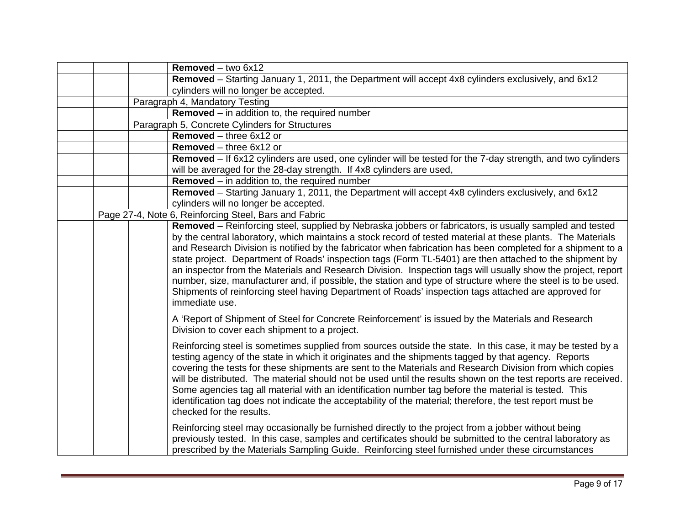|  | Removed - two 6x12                                                                                             |
|--|----------------------------------------------------------------------------------------------------------------|
|  | Removed - Starting January 1, 2011, the Department will accept 4x8 cylinders exclusively, and 6x12             |
|  | cylinders will no longer be accepted.                                                                          |
|  | Paragraph 4, Mandatory Testing                                                                                 |
|  | Removed - in addition to, the required number                                                                  |
|  | Paragraph 5, Concrete Cylinders for Structures                                                                 |
|  | Removed - three 6x12 or                                                                                        |
|  | Removed - three 6x12 or                                                                                        |
|  | Removed – If 6x12 cylinders are used, one cylinder will be tested for the 7-day strength, and two cylinders    |
|  | will be averaged for the 28-day strength. If 4x8 cylinders are used,                                           |
|  | <b>Removed</b> $-$ in addition to, the required number                                                         |
|  | Removed - Starting January 1, 2011, the Department will accept 4x8 cylinders exclusively, and 6x12             |
|  | cylinders will no longer be accepted.                                                                          |
|  | Page 27-4, Note 6, Reinforcing Steel, Bars and Fabric                                                          |
|  | Removed - Reinforcing steel, supplied by Nebraska jobbers or fabricators, is usually sampled and tested        |
|  | by the central laboratory, which maintains a stock record of tested material at these plants. The Materials    |
|  | and Research Division is notified by the fabricator when fabrication has been completed for a shipment to a    |
|  | state project. Department of Roads' inspection tags (Form TL-5401) are then attached to the shipment by        |
|  | an inspector from the Materials and Research Division. Inspection tags will usually show the project, report   |
|  | number, size, manufacturer and, if possible, the station and type of structure where the steel is to be used.  |
|  | Shipments of reinforcing steel having Department of Roads' inspection tags attached are approved for           |
|  | immediate use.                                                                                                 |
|  | A 'Report of Shipment of Steel for Concrete Reinforcement' is issued by the Materials and Research             |
|  | Division to cover each shipment to a project.                                                                  |
|  |                                                                                                                |
|  | Reinforcing steel is sometimes supplied from sources outside the state. In this case, it may be tested by a    |
|  | testing agency of the state in which it originates and the shipments tagged by that agency. Reports            |
|  | covering the tests for these shipments are sent to the Materials and Research Division from which copies       |
|  | will be distributed. The material should not be used until the results shown on the test reports are received. |
|  | Some agencies tag all material with an identification number tag before the material is tested. This           |
|  | identification tag does not indicate the acceptability of the material; therefore, the test report must be     |
|  | checked for the results.                                                                                       |
|  |                                                                                                                |
|  | Reinforcing steel may occasionally be furnished directly to the project from a jobber without being            |
|  | previously tested. In this case, samples and certificates should be submitted to the central laboratory as     |
|  | prescribed by the Materials Sampling Guide. Reinforcing steel furnished under these circumstances              |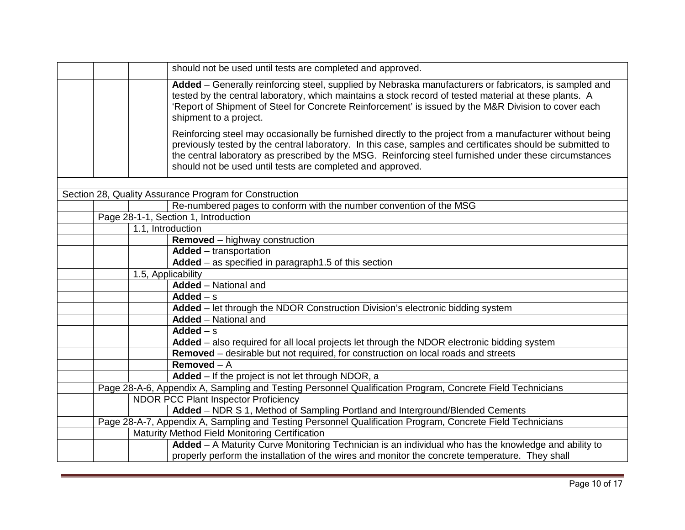|  | should not be used until tests are completed and approved.                                                                                                                                                                                                                                                                                                                                      |
|--|-------------------------------------------------------------------------------------------------------------------------------------------------------------------------------------------------------------------------------------------------------------------------------------------------------------------------------------------------------------------------------------------------|
|  | Added - Generally reinforcing steel, supplied by Nebraska manufacturers or fabricators, is sampled and<br>tested by the central laboratory, which maintains a stock record of tested material at these plants. A<br>'Report of Shipment of Steel for Concrete Reinforcement' is issued by the M&R Division to cover each<br>shipment to a project.                                              |
|  | Reinforcing steel may occasionally be furnished directly to the project from a manufacturer without being<br>previously tested by the central laboratory. In this case, samples and certificates should be submitted to<br>the central laboratory as prescribed by the MSG. Reinforcing steel furnished under these circumstances<br>should not be used until tests are completed and approved. |
|  |                                                                                                                                                                                                                                                                                                                                                                                                 |
|  | Section 28, Quality Assurance Program for Construction                                                                                                                                                                                                                                                                                                                                          |
|  | Re-numbered pages to conform with the number convention of the MSG                                                                                                                                                                                                                                                                                                                              |
|  | Page 28-1-1, Section 1, Introduction                                                                                                                                                                                                                                                                                                                                                            |
|  | 1.1, Introduction                                                                                                                                                                                                                                                                                                                                                                               |
|  | <b>Removed</b> – highway construction                                                                                                                                                                                                                                                                                                                                                           |
|  | <b>Added</b> – transportation                                                                                                                                                                                                                                                                                                                                                                   |
|  | Added - as specified in paragraph1.5 of this section                                                                                                                                                                                                                                                                                                                                            |
|  | 1.5, Applicability                                                                                                                                                                                                                                                                                                                                                                              |
|  | <b>Added</b> - National and                                                                                                                                                                                                                                                                                                                                                                     |
|  | Added $- s$                                                                                                                                                                                                                                                                                                                                                                                     |
|  | Added – let through the NDOR Construction Division's electronic bidding system                                                                                                                                                                                                                                                                                                                  |
|  | Added - National and                                                                                                                                                                                                                                                                                                                                                                            |
|  | Added $- s$                                                                                                                                                                                                                                                                                                                                                                                     |
|  | Added - also required for all local projects let through the NDOR electronic bidding system                                                                                                                                                                                                                                                                                                     |
|  | Removed – desirable but not required, for construction on local roads and streets                                                                                                                                                                                                                                                                                                               |
|  | $Removed - A$                                                                                                                                                                                                                                                                                                                                                                                   |
|  | Added - If the project is not let through NDOR, a                                                                                                                                                                                                                                                                                                                                               |
|  | Page 28-A-6, Appendix A, Sampling and Testing Personnel Qualification Program, Concrete Field Technicians                                                                                                                                                                                                                                                                                       |
|  | <b>NDOR PCC Plant Inspector Proficiency</b>                                                                                                                                                                                                                                                                                                                                                     |
|  | Added - NDR S 1, Method of Sampling Portland and Interground/Blended Cements                                                                                                                                                                                                                                                                                                                    |
|  | Page 28-A-7, Appendix A, Sampling and Testing Personnel Qualification Program, Concrete Field Technicians                                                                                                                                                                                                                                                                                       |
|  | Maturity Method Field Monitoring Certification                                                                                                                                                                                                                                                                                                                                                  |
|  | Added - A Maturity Curve Monitoring Technician is an individual who has the knowledge and ability to                                                                                                                                                                                                                                                                                            |
|  | properly perform the installation of the wires and monitor the concrete temperature. They shall                                                                                                                                                                                                                                                                                                 |
|  |                                                                                                                                                                                                                                                                                                                                                                                                 |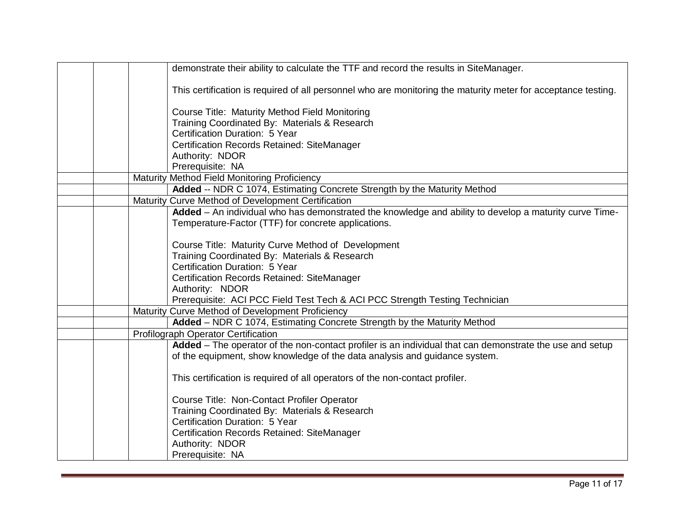|  | demonstrate their ability to calculate the TTF and record the results in SiteManager.                         |
|--|---------------------------------------------------------------------------------------------------------------|
|  | This certification is required of all personnel who are monitoring the maturity meter for acceptance testing. |
|  | Course Title: Maturity Method Field Monitoring                                                                |
|  | Training Coordinated By: Materials & Research                                                                 |
|  | Certification Duration: 5 Year                                                                                |
|  | Certification Records Retained: SiteManager                                                                   |
|  | Authority: NDOR                                                                                               |
|  | Prerequisite: NA                                                                                              |
|  | Maturity Method Field Monitoring Proficiency                                                                  |
|  | Added -- NDR C 1074, Estimating Concrete Strength by the Maturity Method                                      |
|  | Maturity Curve Method of Development Certification                                                            |
|  | Added - An individual who has demonstrated the knowledge and ability to develop a maturity curve Time-        |
|  | Temperature-Factor (TTF) for concrete applications.                                                           |
|  |                                                                                                               |
|  | Course Title: Maturity Curve Method of Development                                                            |
|  | Training Coordinated By: Materials & Research                                                                 |
|  | Certification Duration: 5 Year                                                                                |
|  | Certification Records Retained: SiteManager                                                                   |
|  | Authority: NDOR                                                                                               |
|  | Prerequisite: ACI PCC Field Test Tech & ACI PCC Strength Testing Technician                                   |
|  | Maturity Curve Method of Development Proficiency                                                              |
|  | Added - NDR C 1074, Estimating Concrete Strength by the Maturity Method                                       |
|  | Profilograph Operator Certification                                                                           |
|  | Added - The operator of the non-contact profiler is an individual that can demonstrate the use and setup      |
|  | of the equipment, show knowledge of the data analysis and guidance system.                                    |
|  | This certification is required of all operators of the non-contact profiler.                                  |
|  |                                                                                                               |
|  | Course Title: Non-Contact Profiler Operator                                                                   |
|  | Training Coordinated By: Materials & Research                                                                 |
|  | Certification Duration: 5 Year                                                                                |
|  | Certification Records Retained: SiteManager                                                                   |
|  | Authority: NDOR                                                                                               |
|  | Prerequisite: NA                                                                                              |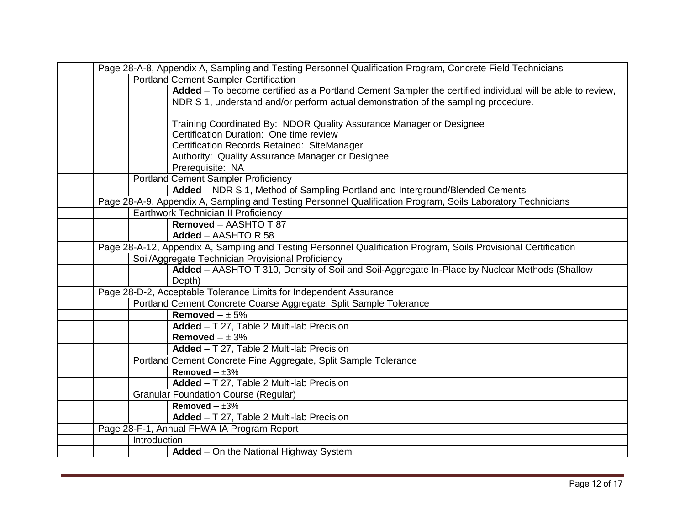| Page 28-A-8, Appendix A, Sampling and Testing Personnel Qualification Program, Concrete Field Technicians |                                                                                                                 |  |
|-----------------------------------------------------------------------------------------------------------|-----------------------------------------------------------------------------------------------------------------|--|
| <b>Portland Cement Sampler Certification</b>                                                              |                                                                                                                 |  |
|                                                                                                           | Added - To become certified as a Portland Cement Sampler the certified individual will be able to review,       |  |
|                                                                                                           | NDR S 1, understand and/or perform actual demonstration of the sampling procedure.                              |  |
|                                                                                                           |                                                                                                                 |  |
|                                                                                                           | Training Coordinated By: NDOR Quality Assurance Manager or Designee                                             |  |
|                                                                                                           | Certification Duration: One time review                                                                         |  |
|                                                                                                           | Certification Records Retained: SiteManager                                                                     |  |
|                                                                                                           | Authority: Quality Assurance Manager or Designee                                                                |  |
|                                                                                                           | Prerequisite: NA                                                                                                |  |
|                                                                                                           | <b>Portland Cement Sampler Proficiency</b>                                                                      |  |
|                                                                                                           | Added - NDR S 1, Method of Sampling Portland and Interground/Blended Cements                                    |  |
|                                                                                                           | Page 28-A-9, Appendix A, Sampling and Testing Personnel Qualification Program, Soils Laboratory Technicians     |  |
|                                                                                                           | Earthwork Technician II Proficiency                                                                             |  |
|                                                                                                           | Removed - AASHTO T 87                                                                                           |  |
|                                                                                                           | Added - AASHTO R 58                                                                                             |  |
|                                                                                                           | Page 28-A-12, Appendix A, Sampling and Testing Personnel Qualification Program, Soils Provisional Certification |  |
|                                                                                                           | Soil/Aggregate Technician Provisional Proficiency                                                               |  |
|                                                                                                           | Added - AASHTO T 310, Density of Soil and Soil-Aggregate In-Place by Nuclear Methods (Shallow                   |  |
|                                                                                                           | Depth)                                                                                                          |  |
|                                                                                                           | Page 28-D-2, Acceptable Tolerance Limits for Independent Assurance                                              |  |
|                                                                                                           | Portland Cement Concrete Coarse Aggregate, Split Sample Tolerance                                               |  |
|                                                                                                           | Removed $- \pm 5\%$                                                                                             |  |
|                                                                                                           | Added - T 27, Table 2 Multi-lab Precision                                                                       |  |
|                                                                                                           | Removed $- \pm 3\%$                                                                                             |  |
|                                                                                                           | Added - T 27, Table 2 Multi-lab Precision                                                                       |  |
|                                                                                                           | Portland Cement Concrete Fine Aggregate, Split Sample Tolerance                                                 |  |
|                                                                                                           | Removed $- \pm 3\%$                                                                                             |  |
|                                                                                                           | Added - T 27, Table 2 Multi-lab Precision                                                                       |  |
|                                                                                                           | <b>Granular Foundation Course (Regular)</b>                                                                     |  |
|                                                                                                           | Removed $- \pm 3\%$                                                                                             |  |
|                                                                                                           | Added - T 27, Table 2 Multi-lab Precision                                                                       |  |
|                                                                                                           | Page 28-F-1, Annual FHWA IA Program Report                                                                      |  |
| Introduction                                                                                              |                                                                                                                 |  |
|                                                                                                           | Added - On the National Highway System                                                                          |  |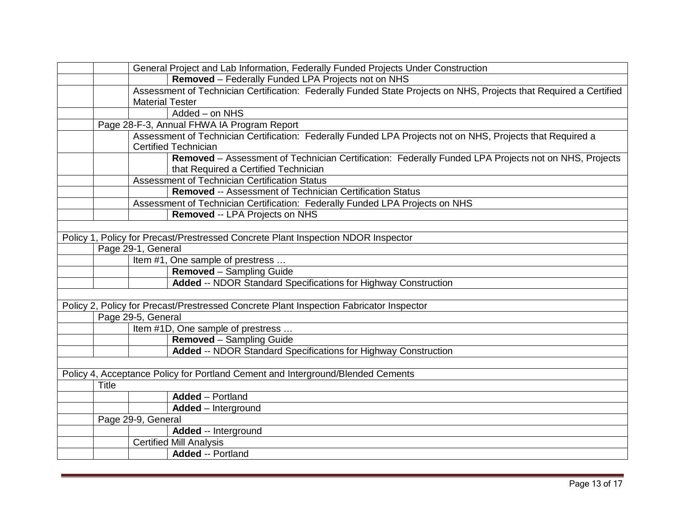|       | General Project and Lab Information, Federally Funded Projects Under Construction                                  |
|-------|--------------------------------------------------------------------------------------------------------------------|
|       | Removed - Federally Funded LPA Projects not on NHS                                                                 |
|       | Assessment of Technician Certification: Federally Funded State Projects on NHS, Projects that Required a Certified |
|       | <b>Material Tester</b>                                                                                             |
|       | Added - on NHS                                                                                                     |
|       | Page 28-F-3, Annual FHWA IA Program Report                                                                         |
|       | Assessment of Technician Certification: Federally Funded LPA Projects not on NHS, Projects that Required a         |
|       | <b>Certified Technician</b>                                                                                        |
|       | Removed - Assessment of Technician Certification: Federally Funded LPA Projects not on NHS, Projects               |
|       | that Required a Certified Technician                                                                               |
|       | Assessment of Technician Certification Status                                                                      |
|       | <b>Removed -- Assessment of Technician Certification Status</b>                                                    |
|       | Assessment of Technician Certification: Federally Funded LPA Projects on NHS                                       |
|       | Removed -- LPA Projects on NHS                                                                                     |
|       |                                                                                                                    |
|       | Policy 1, Policy for Precast/Prestressed Concrete Plant Inspection NDOR Inspector                                  |
|       | Page 29-1, General                                                                                                 |
|       | Item #1, One sample of prestress                                                                                   |
|       | <b>Removed</b> - Sampling Guide                                                                                    |
|       | <b>Added -- NDOR Standard Specifications for Highway Construction</b>                                              |
|       |                                                                                                                    |
|       | Policy 2, Policy for Precast/Prestressed Concrete Plant Inspection Fabricator Inspector                            |
|       | Page 29-5, General                                                                                                 |
|       | Item #1D, One sample of prestress                                                                                  |
|       | Removed - Sampling Guide                                                                                           |
|       | <b>Added -- NDOR Standard Specifications for Highway Construction</b>                                              |
|       |                                                                                                                    |
|       | Policy 4, Acceptance Policy for Portland Cement and Interground/Blended Cements                                    |
| Title |                                                                                                                    |
|       | <b>Added</b> – Portland                                                                                            |
|       | Added - Interground                                                                                                |
|       | Page 29-9, General                                                                                                 |
|       | Added -- Interground                                                                                               |
|       | <b>Certified Mill Analysis</b>                                                                                     |
|       | <b>Added -- Portland</b>                                                                                           |
|       |                                                                                                                    |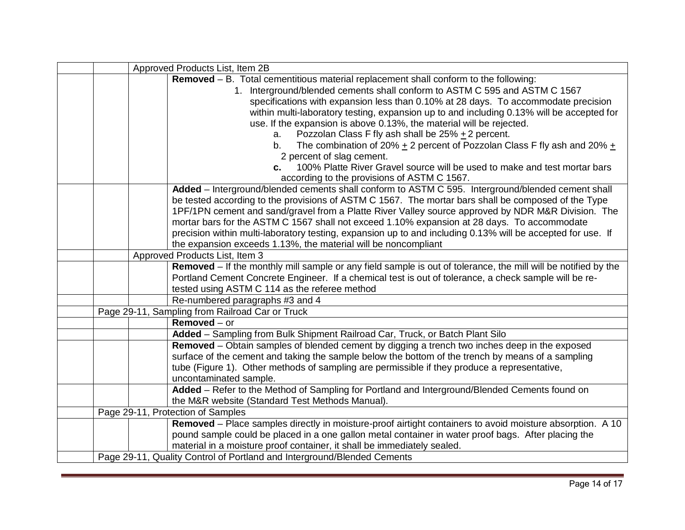|  | Approved Products List, Item 2B                                                                                |
|--|----------------------------------------------------------------------------------------------------------------|
|  | Removed - B. Total cementitious material replacement shall conform to the following:                           |
|  | 1. Interground/blended cements shall conform to ASTM C 595 and ASTM C 1567                                     |
|  | specifications with expansion less than 0.10% at 28 days. To accommodate precision                             |
|  | within multi-laboratory testing, expansion up to and including 0.13% will be accepted for                      |
|  | use. If the expansion is above 0.13%, the material will be rejected.                                           |
|  | Pozzolan Class F fly ash shall be $25\% + 2$ percent.<br>a.                                                    |
|  | The combination of 20% $\pm$ 2 percent of Pozzolan Class F fly ash and 20% $\pm$<br>b.                         |
|  | 2 percent of slag cement.                                                                                      |
|  | 100% Platte River Gravel source will be used to make and test mortar bars<br>C.                                |
|  | according to the provisions of ASTM C 1567.                                                                    |
|  | Added - Interground/blended cements shall conform to ASTM C 595. Interground/blended cement shall              |
|  | be tested according to the provisions of ASTM C 1567. The mortar bars shall be composed of the Type            |
|  | 1PF/1PN cement and sand/gravel from a Platte River Valley source approved by NDR M&R Division. The             |
|  | mortar bars for the ASTM C 1567 shall not exceed 1.10% expansion at 28 days. To accommodate                    |
|  | precision within multi-laboratory testing, expansion up to and including 0.13% will be accepted for use. If    |
|  | the expansion exceeds 1.13%, the material will be noncompliant                                                 |
|  | Approved Products List, Item 3                                                                                 |
|  | Removed – If the monthly mill sample or any field sample is out of tolerance, the mill will be notified by the |
|  | Portland Cement Concrete Engineer. If a chemical test is out of tolerance, a check sample will be re-          |
|  | tested using ASTM C 114 as the referee method                                                                  |
|  | Re-numbered paragraphs #3 and 4                                                                                |
|  | Page 29-11, Sampling from Railroad Car or Truck                                                                |
|  | $Removed - or$                                                                                                 |
|  | Added - Sampling from Bulk Shipment Railroad Car, Truck, or Batch Plant Silo                                   |
|  | Removed – Obtain samples of blended cement by digging a trench two inches deep in the exposed                  |
|  | surface of the cement and taking the sample below the bottom of the trench by means of a sampling              |
|  | tube (Figure 1). Other methods of sampling are permissible if they produce a representative,                   |
|  | uncontaminated sample.                                                                                         |
|  | Added - Refer to the Method of Sampling for Portland and Interground/Blended Cements found on                  |
|  | the M&R website (Standard Test Methods Manual).                                                                |
|  | Page 29-11, Protection of Samples                                                                              |
|  | Removed – Place samples directly in moisture-proof airtight containers to avoid moisture absorption. A 10      |
|  | pound sample could be placed in a one gallon metal container in water proof bags. After placing the            |
|  | material in a moisture proof container, it shall be immediately sealed.                                        |
|  | Page 29-11, Quality Control of Portland and Interground/Blended Cements                                        |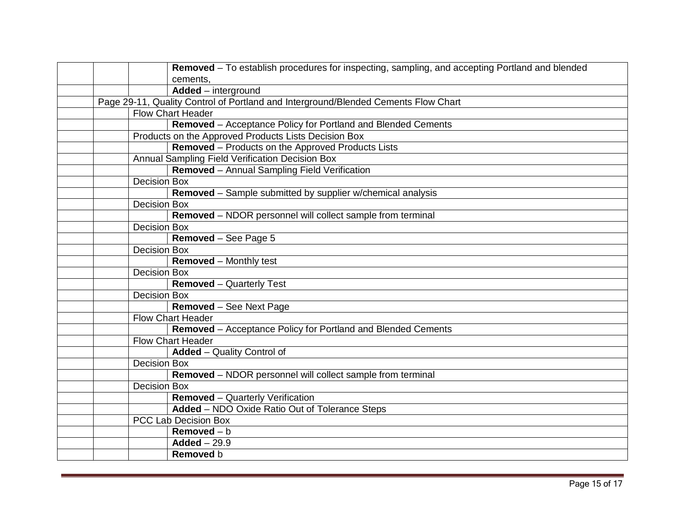|  |                     | Removed - To establish procedures for inspecting, sampling, and accepting Portland and blended |
|--|---------------------|------------------------------------------------------------------------------------------------|
|  |                     | cements,                                                                                       |
|  |                     | Added - interground                                                                            |
|  |                     | Page 29-11, Quality Control of Portland and Interground/Blended Cements Flow Chart             |
|  |                     | <b>Flow Chart Header</b>                                                                       |
|  |                     | Removed - Acceptance Policy for Portland and Blended Cements                                   |
|  |                     | Products on the Approved Products Lists Decision Box                                           |
|  |                     | Removed - Products on the Approved Products Lists                                              |
|  |                     | Annual Sampling Field Verification Decision Box                                                |
|  |                     | Removed - Annual Sampling Field Verification                                                   |
|  | <b>Decision Box</b> |                                                                                                |
|  |                     | Removed - Sample submitted by supplier w/chemical analysis                                     |
|  | <b>Decision Box</b> |                                                                                                |
|  |                     | Removed - NDOR personnel will collect sample from terminal                                     |
|  | <b>Decision Box</b> |                                                                                                |
|  |                     | Removed - See Page 5                                                                           |
|  | <b>Decision Box</b> |                                                                                                |
|  |                     | <b>Removed</b> – Monthly test                                                                  |
|  | <b>Decision Box</b> |                                                                                                |
|  |                     | <b>Removed - Quarterly Test</b>                                                                |
|  | <b>Decision Box</b> |                                                                                                |
|  |                     | Removed - See Next Page                                                                        |
|  |                     | <b>Flow Chart Header</b>                                                                       |
|  |                     | Removed - Acceptance Policy for Portland and Blended Cements                                   |
|  |                     | <b>Flow Chart Header</b>                                                                       |
|  |                     | <b>Added</b> - Quality Control of                                                              |
|  | <b>Decision Box</b> |                                                                                                |
|  |                     | Removed - NDOR personnel will collect sample from terminal                                     |
|  | <b>Decision Box</b> |                                                                                                |
|  |                     | <b>Removed</b> - Quarterly Verification                                                        |
|  |                     | Added - NDO Oxide Ratio Out of Tolerance Steps                                                 |
|  |                     | PCC Lab Decision Box                                                                           |
|  |                     | $Removed - b$                                                                                  |
|  |                     | $Added - 29.9$                                                                                 |
|  |                     | Removed b                                                                                      |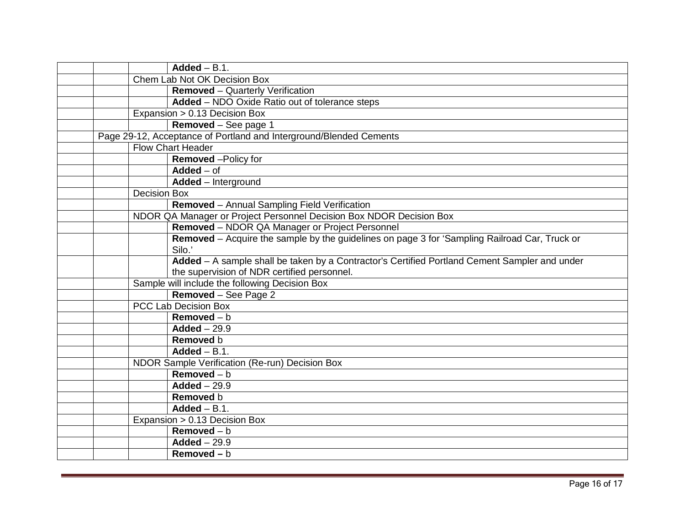|                     | $Added - B.1$ .                                                                               |
|---------------------|-----------------------------------------------------------------------------------------------|
|                     | Chem Lab Not OK Decision Box                                                                  |
|                     | <b>Removed</b> - Quarterly Verification                                                       |
|                     | Added - NDO Oxide Ratio out of tolerance steps                                                |
|                     | Expansion > 0.13 Decision Box                                                                 |
|                     | Removed - See page 1                                                                          |
|                     | Page 29-12, Acceptance of Portland and Interground/Blended Cements                            |
|                     | Flow Chart Header                                                                             |
|                     | <b>Removed</b> - Policy for                                                                   |
|                     | $Added - of$                                                                                  |
|                     | Added - Interground                                                                           |
| <b>Decision Box</b> |                                                                                               |
|                     | Removed - Annual Sampling Field Verification                                                  |
|                     | NDOR QA Manager or Project Personnel Decision Box NDOR Decision Box                           |
|                     | Removed - NDOR QA Manager or Project Personnel                                                |
|                     | Removed - Acquire the sample by the guidelines on page 3 for 'Sampling Railroad Car, Truck or |
|                     | Silo.'                                                                                        |
|                     | Added - A sample shall be taken by a Contractor's Certified Portland Cement Sampler and under |
|                     | the supervision of NDR certified personnel.                                                   |
|                     | Sample will include the following Decision Box                                                |
|                     | Removed - See Page 2                                                                          |
|                     | PCC Lab Decision Box                                                                          |
|                     | $Removed - b$                                                                                 |
|                     | $Added - 29.9$                                                                                |
|                     | Removed b                                                                                     |
|                     | $Added - B.1$ .                                                                               |
|                     | NDOR Sample Verification (Re-run) Decision Box                                                |
|                     | $Removed - b$                                                                                 |
|                     | $Added - 29.9$                                                                                |
|                     | Removed b                                                                                     |
|                     | $Added - B.1$ .                                                                               |
|                     | Expansion > 0.13 Decision Box                                                                 |
|                     | $Removed - b$                                                                                 |
|                     | $Added - 29.9$                                                                                |
|                     | Removed $- b$                                                                                 |